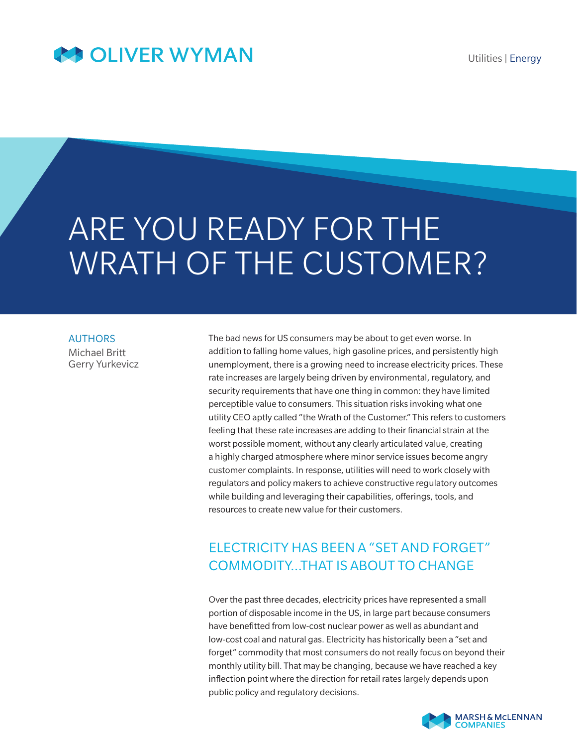# are you ready for the WRATH OF THE CUSTOMER?

**AUTHORS** Michael Britt Gerry Yurkevicz The bad news for US consumers may be about to get even worse. In addition to falling home values, high gasoline prices, and persistently high unemployment, there is a growing need to increase electricity prices. These rate increases are largely being driven by environmental, regulatory, and security requirements that have one thing in common: they have limited perceptible value to consumers. This situation risks invoking what one utility CEO aptly called "the Wrath of the Customer." This refers to customers feeling that these rate increases are adding to their financial strain at the worst possible moment, without any clearly articulated value, creating a highly charged atmosphere where minor service issues become angry customer complaints. In response, utilities will need to work closely with regulators and policy makers to achieve constructive regulatory outcomes while building and leveraging their capabilities, offerings, tools, and resources to create new value for their customers.

# Electricity has been a "set and forget" commodity…that is about to change

Over the past three decades, electricity prices have represented a small portion of disposable income in the US, in large part because consumers have benefitted from low-cost nuclear power as well as abundant and low-cost coal and natural gas. Electricity has historically been a "set and forget" commodity that most consumers do not really focus on beyond their monthly utility bill. That may be changing, because we have reached a key inflection point where the direction for retail rates largely depends upon public policy and regulatory decisions.

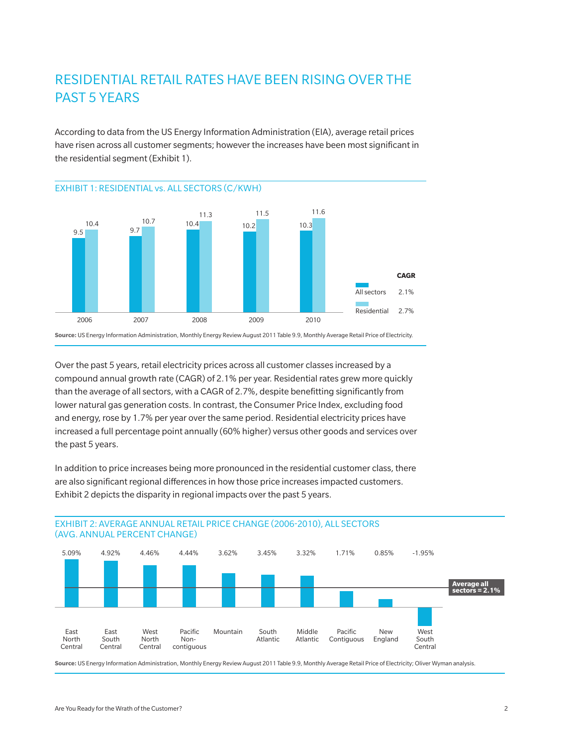# Residential retail rates have been rising over the past 5 years

According to data from the US Energy Information Administration (EIA), average retail prices have risen across all customer segments; however the increases have been most significant in the residential segment (Exhibit 1).



Over the past 5 years, retail electricity prices across all customer classes increased by a compound annual growth rate (CAGR) of 2.1% per year. Residential rates grew more quickly than the average of all sectors, with a CAGR of 2.7%, despite benefitting significantly from lower natural gas generation costs. In contrast, the Consumer Price Index, excluding food and energy, rose by 1.7% per year over the same period. Residential electricity prices have increased a full percentage point annually (60% higher) versus other goods and services over the past 5 years.

In addition to price increases being more pronounced in the residential customer class, there are also significant regional differences in how those price increases impacted customers. Exhibit 2 depicts the disparity in regional impacts over the past 5 years.



#### Exhibit 2: Average annual retail price change (2006-2010), All sectors (avg. Annual Percent Change)

**Source:** US Energy Information Administration, Monthly Energy Review August 2011 Table 9.9, Monthly Average Retail Price of Electricity; Oliver Wyman analysis.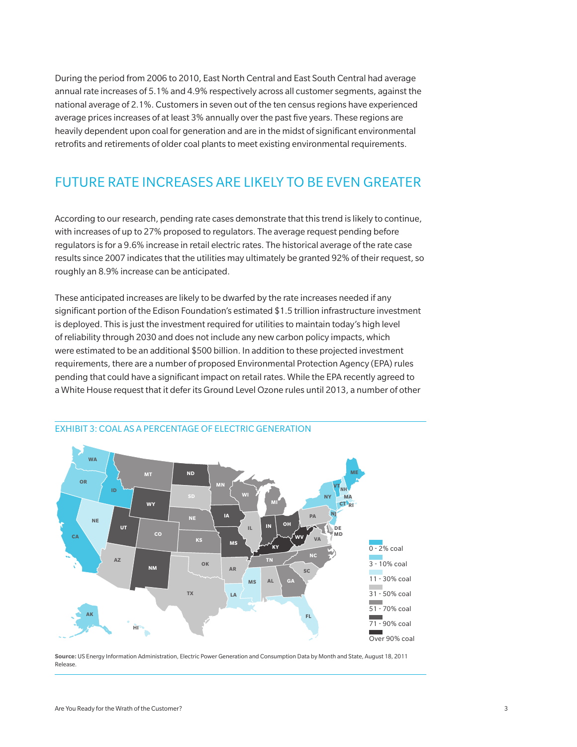During the period from 2006 to 2010, East North Central and East South Central had average annual rate increases of 5.1% and 4.9% respectively across all customer segments, against the national average of 2.1%. Customers in seven out of the ten census regions have experienced average prices increases of at least 3% annually over the past five years. These regions are heavily dependent upon coal for generation and are in the midst of significant environmental retrofits and retirements of older coal plants to meet existing environmental requirements.

### Future rate increases are likely to be even greater

According to our research, pending rate cases demonstrate that this trend is likely to continue, with increases of up to 27% proposed to regulators. The average request pending before regulators is for a 9.6% increase in retail electric rates. The historical average of the rate case results since 2007 indicates that the utilities may ultimately be granted 92% of their request, so roughly an 8.9% increase can be anticipated.

These anticipated increases are likely to be dwarfed by the rate increases needed if any significant portion of the Edison Foundation's estimated \$1.5 trillion infrastructure investment is deployed. This is just the investment required for utilities to maintain today's high level of reliability through 2030 and does not include any new carbon policy impacts, which were estimated to be an additional \$500 billion. In addition to these projected investment requirements, there are a number of proposed Environmental Protection Agency (EPA) rules pending that could have a significant impact on retail rates. While the EPA recently agreed to a White House request that it defer its Ground Level Ozone rules until 2013, a number of other



#### exhibit 3: Coal as a percentage of electric generation

**Source:** US Energy Information Administration, Electric Power Generation and Consumption Data by Month and State, August 18, 2011 Release.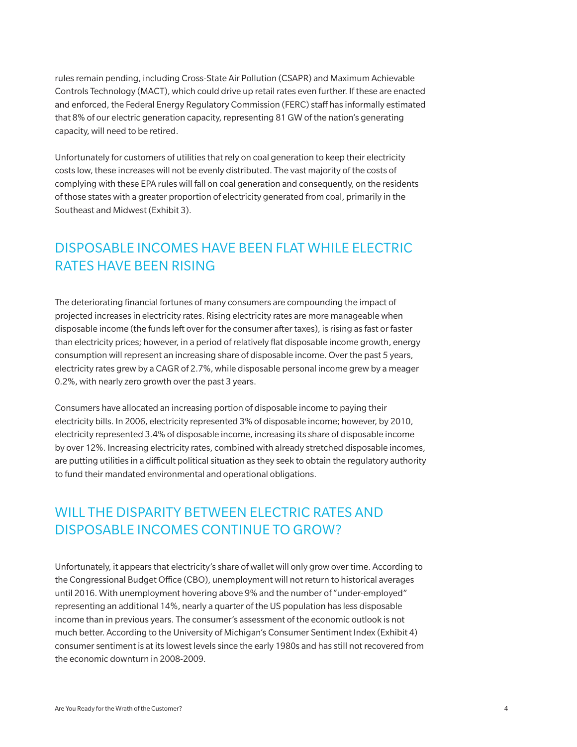rules remain pending, including Cross-State Air Pollution (CSAPR) and Maximum Achievable Controls Technology (MACT), which could drive up retail rates even further. If these are enacted and enforced, the Federal Energy Regulatory Commission (FERC) staff has informally estimated that 8% of our electric generation capacity, representing 81 GW of the nation's generating capacity, will need to be retired.

Unfortunately for customers of utilities that rely on coal generation to keep their electricity costs low, these increases will not be evenly distributed. The vast majority of the costs of complying with these EPA rules will fall on coal generation and consequently, on the residents of those states with a greater proportion of electricity generated from coal, primarily in the Southeast and Midwest (Exhibit 3).

## DISPOSABLE INCOMES HAVE BEEN FLAT WHILE ELECTRIC RATES HAVE BEEN RISING

The deteriorating financial fortunes of many consumers are compounding the impact of projected increases in electricity rates. Rising electricity rates are more manageable when disposable income (the funds left over for the consumer after taxes), is rising as fast or faster than electricity prices; however, in a period of relatively flat disposable income growth, energy consumption will represent an increasing share of disposable income. Over the past 5 years, electricity rates grew by a CAGR of 2.7%, while disposable personal income grew by a meager 0.2%, with nearly zero growth over the past 3 years.

Consumers have allocated an increasing portion of disposable income to paying their electricity bills. In 2006, electricity represented 3% of disposable income; however, by 2010, electricity represented 3.4% of disposable income, increasing its share of disposable income by over 12%. Increasing electricity rates, combined with already stretched disposable incomes, are putting utilities in a difficult political situation as they seek to obtain the regulatory authority to fund their mandated environmental and operational obligations.

## Will the disparity between electric rates and disposable incomes continue to grow?

Unfortunately, it appears that electricity's share of wallet will only grow over time. According to the Congressional Budget Office (CBO), unemployment will not return to historical averages until 2016. With unemployment hovering above 9% and the number of "under-employed" representing an additional 14%, nearly a quarter of the US population has less disposable income than in previous years. The consumer's assessment of the economic outlook is not much better. According to the University of Michigan's Consumer Sentiment Index (Exhibit 4) consumer sentiment is at its lowest levels since the early 1980s and has still not recovered from the economic downturn in 2008-2009.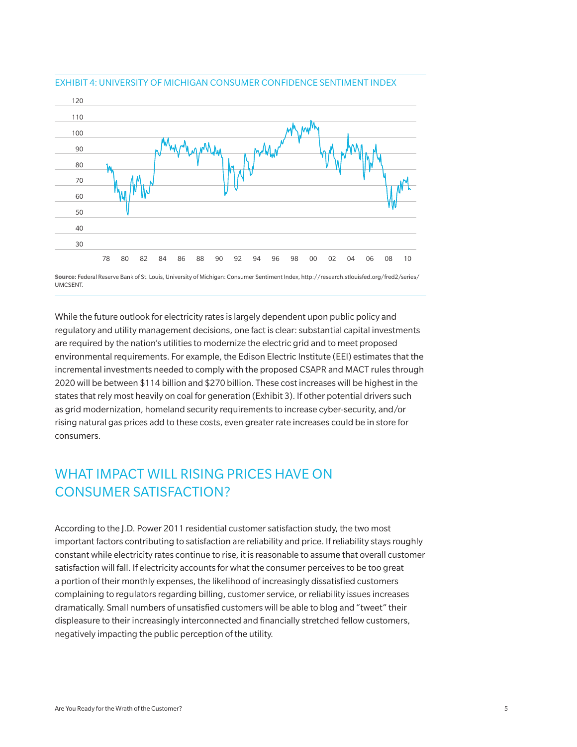

#### Exhibit 4: University of Michigan consumer confidence sentiment index

**Source:** Federal Reserve Bank of St. Louis, University of Michigan: Consumer Sentiment Index, http://research.stlouisfed.org/fred2/series/ UMCSENT.

While the future outlook for electricity rates is largely dependent upon public policy and regulatory and utility management decisions, one fact is clear: substantial capital investments are required by the nation's utilities to modernize the electric grid and to meet proposed environmental requirements. For example, the Edison Electric Institute (EEI) estimates that the incremental investments needed to comply with the proposed CSAPR and MACT rules through 2020 will be between \$114 billion and \$270 billion. These cost increases will be highest in the states that rely most heavily on coal for generation (Exhibit 3). If other potential drivers such as grid modernization, homeland security requirements to increase cyber-security, and/or rising natural gas prices add to these costs, even greater rate increases could be in store for consumers.

# WHAT IMPACT WILL RISING PRICES HAVE ON consumer satisfaction?

According to the J.D. Power 2011 residential customer satisfaction study, the two most important factors contributing to satisfaction are reliability and price. If reliability stays roughly constant while electricity rates continue to rise, it is reasonable to assume that overall customer satisfaction will fall. If electricity accounts for what the consumer perceives to be too great a portion of their monthly expenses, the likelihood of increasingly dissatisfied customers complaining to regulators regarding billing, customer service, or reliability issues increases dramatically. Small numbers of unsatisfied customers will be able to blog and "tweet" their displeasure to their increasingly interconnected and financially stretched fellow customers, negatively impacting the public perception of the utility.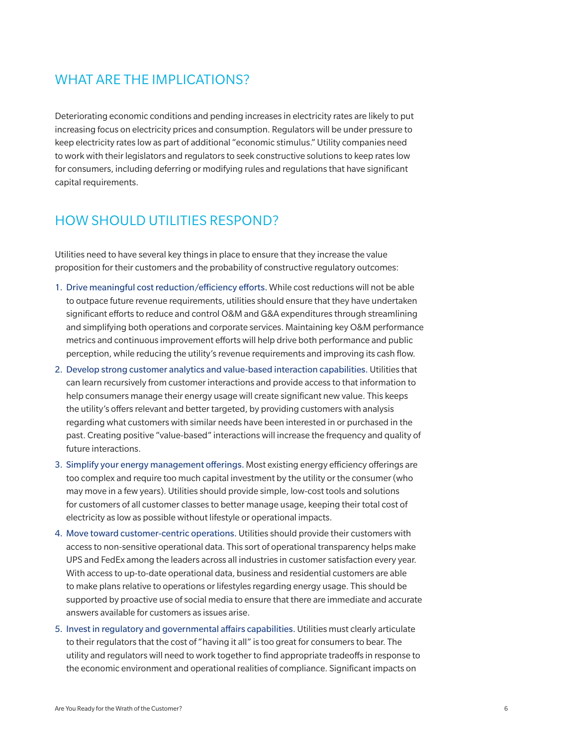### WHAT ARE THE IMPI ICATIONS?

Deteriorating economic conditions and pending increases in electricity rates are likely to put increasing focus on electricity prices and consumption. Regulators will be under pressure to keep electricity rates low as part of additional "economic stimulus." Utility companies need to work with their legislators and regulators to seek constructive solutions to keep rates low for consumers, including deferring or modifying rules and regulations that have significant capital requirements.

#### How should Utilities respond?

Utilities need to have several key things in place to ensure that they increase the value proposition for their customers and the probability of constructive regulatory outcomes:

- 1. Drive meaningful cost reduction/efficiency efforts. While cost reductions will not be able to outpace future revenue requirements, utilities should ensure that they have undertaken significant efforts to reduce and control O&M and G&A expenditures through streamlining and simplifying both operations and corporate services. Maintaining key O&M performance metrics and continuous improvement efforts will help drive both performance and public perception, while reducing the utility's revenue requirements and improving its cash flow.
- 2. Develop strong customer analytics and value-based interaction capabilities. Utilities that can learn recursively from customer interactions and provide access to that information to help consumers manage their energy usage will create significant new value. This keeps the utility's offers relevant and better targeted, by providing customers with analysis regarding what customers with similar needs have been interested in or purchased in the past. Creating positive "value-based" interactions will increase the frequency and quality of future interactions.
- 3. Simplify your energy management offerings. Most existing energy efficiency offerings are too complex and require too much capital investment by the utility or the consumer (who may move in a few years). Utilities should provide simple, low-cost tools and solutions for customers of all customer classes to better manage usage, keeping their total cost of electricity as low as possible without lifestyle or operational impacts.
- 4. Move toward customer-centric operations. Utilities should provide their customers with access to non-sensitive operational data. This sort of operational transparency helps make UPS and FedEx among the leaders across all industries in customer satisfaction every year. With access to up-to-date operational data, business and residential customers are able to make plans relative to operations or lifestyles regarding energy usage. This should be supported by proactive use of social media to ensure that there are immediate and accurate answers available for customers as issues arise.
- 5. Invest in regulatory and governmental affairs capabilities. Utilities must clearly articulate to their regulators that the cost of "having it all" is too great for consumers to bear. The utility and regulators will need to work together to find appropriate tradeoffs in response to the economic environment and operational realities of compliance. Significant impacts on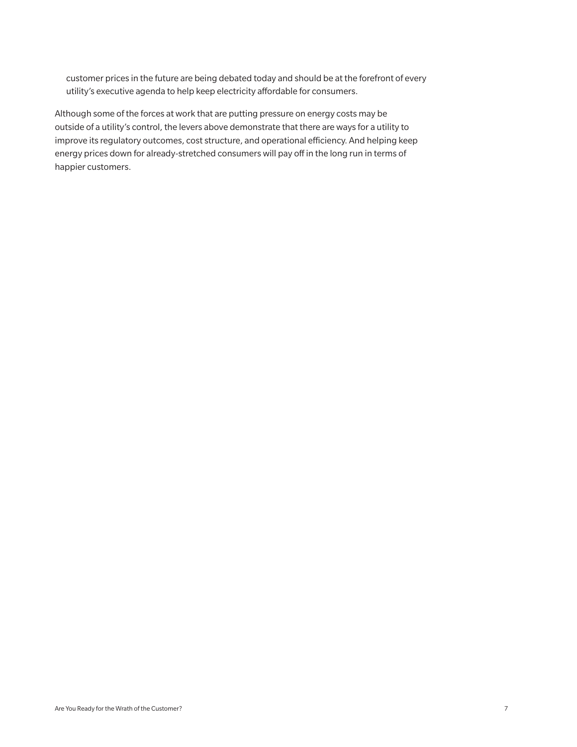customer prices in the future are being debated today and should be at the forefront of every utility's executive agenda to help keep electricity affordable for consumers.

Although some of the forces at work that are putting pressure on energy costs may be outside of a utility's control, the levers above demonstrate that there are ways for a utility to improve its regulatory outcomes, cost structure, and operational efficiency. And helping keep energy prices down for already-stretched consumers will pay off in the long run in terms of happier customers.